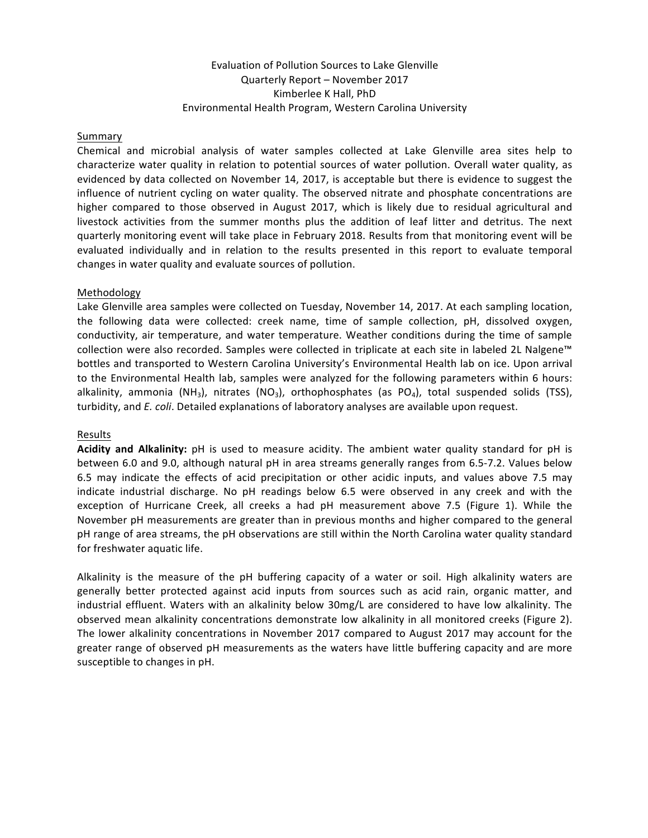# Evaluation of Pollution Sources to Lake Glenville Quarterly Report - November 2017 Kimberlee K Hall, PhD Environmental Health Program, Western Carolina University

### Summary

Chemical and microbial analysis of water samples collected at Lake Glenville area sites help to characterize water quality in relation to potential sources of water pollution. Overall water quality, as evidenced by data collected on November 14, 2017, is acceptable but there is evidence to suggest the influence of nutrient cycling on water quality. The observed nitrate and phosphate concentrations are higher compared to those observed in August 2017, which is likely due to residual agricultural and livestock activities from the summer months plus the addition of leaf litter and detritus. The next quarterly monitoring event will take place in February 2018. Results from that monitoring event will be evaluated individually and in relation to the results presented in this report to evaluate temporal changes in water quality and evaluate sources of pollution.

## Methodology

Lake Glenville area samples were collected on Tuesday, November 14, 2017. At each sampling location, the following data were collected: creek name, time of sample collection, pH, dissolved oxygen, conductivity, air temperature, and water temperature. Weather conditions during the time of sample collection were also recorded. Samples were collected in triplicate at each site in labeled 2L Nalgene™ bottles and transported to Western Carolina University's Environmental Health lab on ice. Upon arrival to the Environmental Health lab, samples were analyzed for the following parameters within 6 hours: alkalinity, ammonia (NH<sub>3</sub>), nitrates (NO<sub>3</sub>), orthophosphates (as PO<sub>4</sub>), total suspended solids (TSS), turbidity, and *E. coli*. Detailed explanations of laboratory analyses are available upon request.

#### Results

**Acidity and Alkalinity:** pH is used to measure acidity. The ambient water quality standard for pH is between 6.0 and 9.0, although natural pH in area streams generally ranges from 6.5-7.2. Values below 6.5 may indicate the effects of acid precipitation or other acidic inputs, and values above 7.5 may indicate industrial discharge. No pH readings below 6.5 were observed in any creek and with the exception of Hurricane Creek, all creeks a had pH measurement above 7.5 (Figure 1). While the November pH measurements are greater than in previous months and higher compared to the general pH range of area streams, the pH observations are still within the North Carolina water quality standard for freshwater aquatic life.

Alkalinity is the measure of the  $pH$  buffering capacity of a water or soil. High alkalinity waters are generally better protected against acid inputs from sources such as acid rain, organic matter, and industrial effluent. Waters with an alkalinity below 30mg/L are considered to have low alkalinity. The observed mean alkalinity concentrations demonstrate low alkalinity in all monitored creeks (Figure 2). The lower alkalinity concentrations in November 2017 compared to August 2017 may account for the greater range of observed pH measurements as the waters have little buffering capacity and are more susceptible to changes in pH.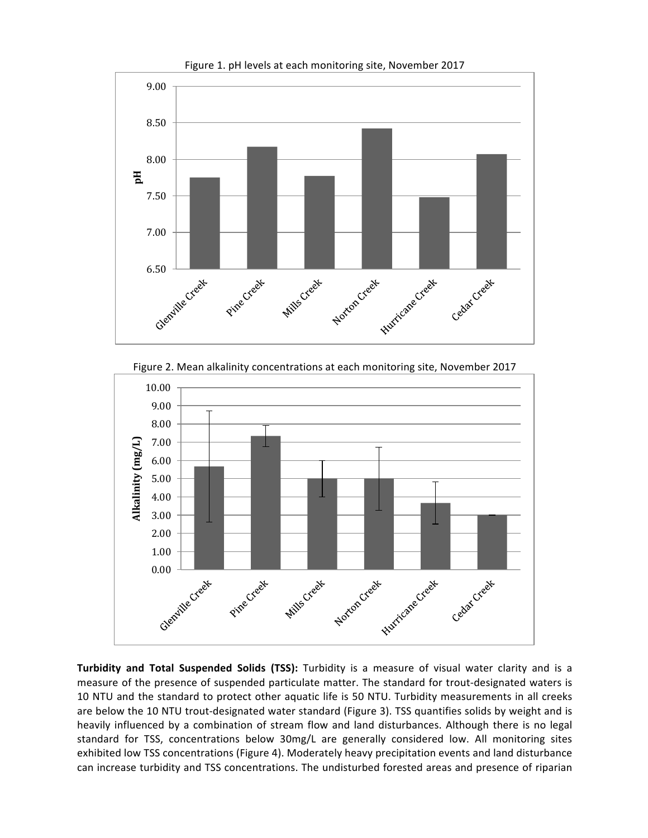

Figure 1. pH levels at each monitoring site, November 2017



**Turbidity and Total Suspended Solids (TSS):** Turbidity is a measure of visual water clarity and is a measure of the presence of suspended particulate matter. The standard for trout-designated waters is 10 NTU and the standard to protect other aquatic life is 50 NTU. Turbidity measurements in all creeks are below the 10 NTU trout-designated water standard (Figure 3). TSS quantifies solids by weight and is heavily influenced by a combination of stream flow and land disturbances. Although there is no legal standard for TSS, concentrations below 30mg/L are generally considered low. All monitoring sites exhibited low TSS concentrations (Figure 4). Moderately heavy precipitation events and land disturbance can increase turbidity and TSS concentrations. The undisturbed forested areas and presence of riparian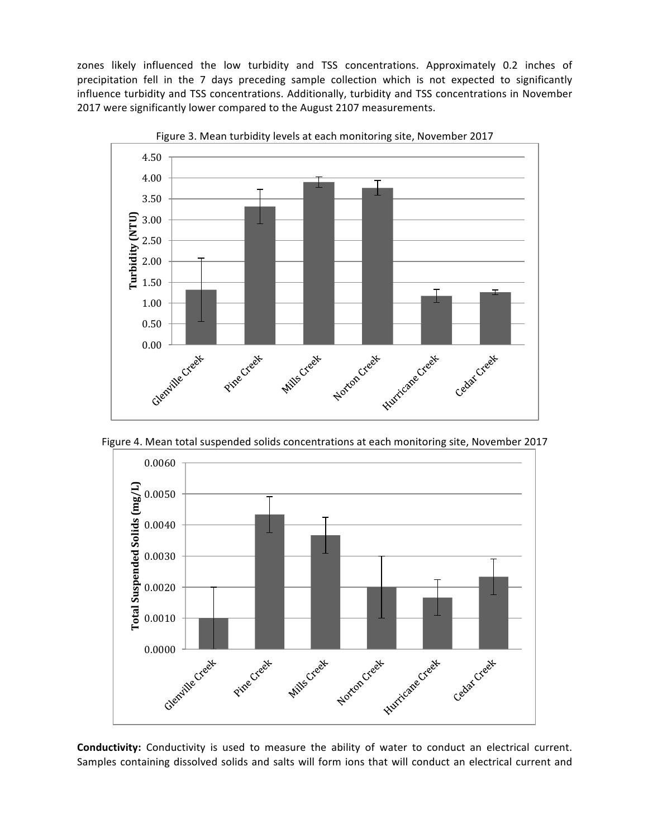zones likely influenced the low turbidity and TSS concentrations. Approximately 0.2 inches of precipitation fell in the 7 days preceding sample collection which is not expected to significantly influence turbidity and TSS concentrations. Additionally, turbidity and TSS concentrations in November 2017 were significantly lower compared to the August 2107 measurements.



Figure 3. Mean turbidity levels at each monitoring site, November 2017





**Conductivity:** Conductivity is used to measure the ability of water to conduct an electrical current. Samples containing dissolved solids and salts will form ions that will conduct an electrical current and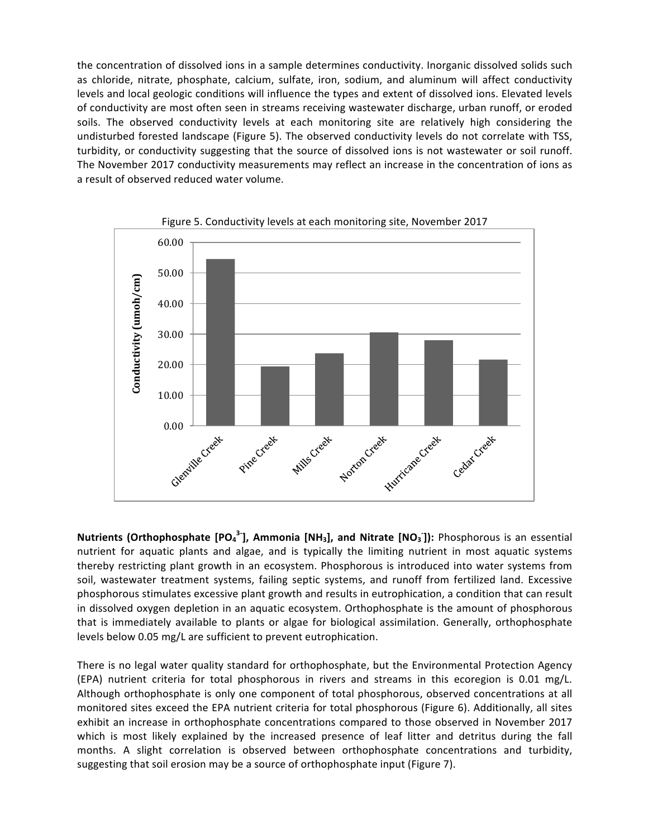the concentration of dissolved ions in a sample determines conductivity. Inorganic dissolved solids such as chloride, nitrate, phosphate, calcium, sulfate, iron, sodium, and aluminum will affect conductivity levels and local geologic conditions will influence the types and extent of dissolved ions. Elevated levels of conductivity are most often seen in streams receiving wastewater discharge, urban runoff, or eroded soils. The observed conductivity levels at each monitoring site are relatively high considering the undisturbed forested landscape (Figure 5). The observed conductivity levels do not correlate with TSS, turbidity, or conductivity suggesting that the source of dissolved ions is not wastewater or soil runoff. The November 2017 conductivity measurements may reflect an increase in the concentration of ions as a result of observed reduced water volume.





**Nutrients (Orthophosphate [PO<sub>4</sub><sup>3-</sup>], Ammonia [NH<sub>3</sub>], and Nitrate [NO<sub>3</sub><sup>-</sup>]): Phosphorous is an essential** nutrient for aquatic plants and algae, and is typically the limiting nutrient in most aquatic systems thereby restricting plant growth in an ecosystem. Phosphorous is introduced into water systems from soil, wastewater treatment systems, failing septic systems, and runoff from fertilized land. Excessive phosphorous stimulates excessive plant growth and results in eutrophication, a condition that can result in dissolved oxygen depletion in an aquatic ecosystem. Orthophosphate is the amount of phosphorous that is immediately available to plants or algae for biological assimilation. Generally, orthophosphate levels below 0.05 mg/L are sufficient to prevent eutrophication.

There is no legal water quality standard for orthophosphate, but the Environmental Protection Agency (EPA) nutrient criteria for total phosphorous in rivers and streams in this ecoregion is 0.01 mg/L. Although orthophosphate is only one component of total phosphorous, observed concentrations at all monitored sites exceed the EPA nutrient criteria for total phosphorous (Figure 6). Additionally, all sites exhibit an increase in orthophosphate concentrations compared to those observed in November 2017 which is most likely explained by the increased presence of leaf litter and detritus during the fall months. A slight correlation is observed between orthophosphate concentrations and turbidity, suggesting that soil erosion may be a source of orthophosphate input (Figure 7).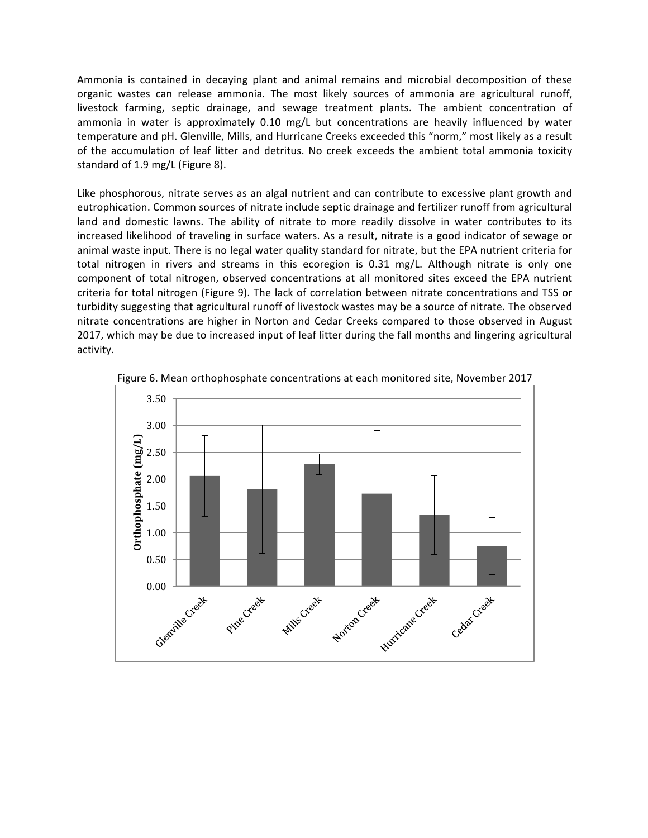Ammonia is contained in decaying plant and animal remains and microbial decomposition of these organic wastes can release ammonia. The most likely sources of ammonia are agricultural runoff, livestock farming, septic drainage, and sewage treatment plants. The ambient concentration of ammonia in water is approximately 0.10 mg/L but concentrations are heavily influenced by water temperature and pH. Glenville, Mills, and Hurricane Creeks exceeded this "norm," most likely as a result of the accumulation of leaf litter and detritus. No creek exceeds the ambient total ammonia toxicity standard of 1.9 mg/L (Figure 8).

Like phosphorous, nitrate serves as an algal nutrient and can contribute to excessive plant growth and eutrophication. Common sources of nitrate include septic drainage and fertilizer runoff from agricultural land and domestic lawns. The ability of nitrate to more readily dissolve in water contributes to its increased likelihood of traveling in surface waters. As a result, nitrate is a good indicator of sewage or animal waste input. There is no legal water quality standard for nitrate, but the EPA nutrient criteria for total nitrogen in rivers and streams in this ecoregion is 0.31 mg/L. Although nitrate is only one component of total nitrogen, observed concentrations at all monitored sites exceed the EPA nutrient criteria for total nitrogen (Figure 9). The lack of correlation between nitrate concentrations and TSS or turbidity suggesting that agricultural runoff of livestock wastes may be a source of nitrate. The observed nitrate concentrations are higher in Norton and Cedar Creeks compared to those observed in August 2017, which may be due to increased input of leaf litter during the fall months and lingering agricultural activity. 



Figure 6. Mean orthophosphate concentrations at each monitored site, November 2017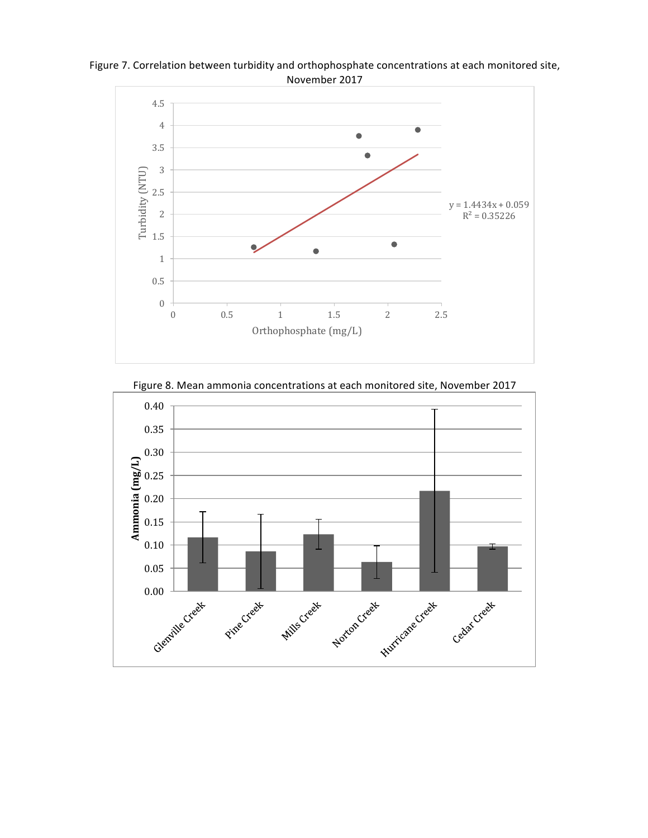Figure 7. Correlation between turbidity and orthophosphate concentrations at each monitored site, November 2017



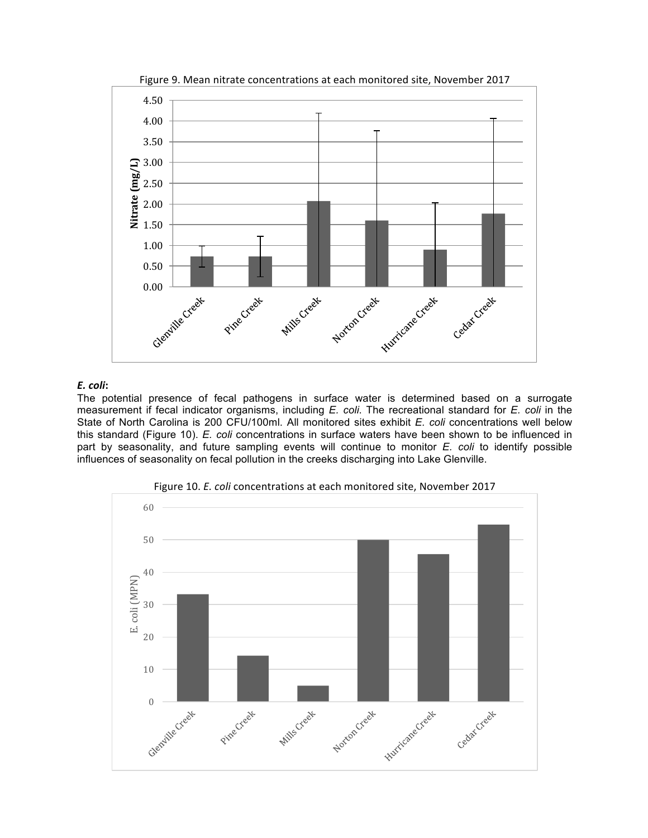

Figure 9. Mean nitrate concentrations at each monitored site, November 2017

## *E. coli***:**

The potential presence of fecal pathogens in surface water is determined based on a surrogate measurement if fecal indicator organisms, including *E. coli*. The recreational standard for *E. coli* in the State of North Carolina is 200 CFU/100ml. All monitored sites exhibit *E. coli* concentrations well below this standard (Figure 10). *E. coli* concentrations in surface waters have been shown to be influenced in part by seasonality, and future sampling events will continue to monitor *E. coli* to identify possible influences of seasonality on fecal pollution in the creeks discharging into Lake Glenville.



Figure 10. *E. coli* concentrations at each monitored site, November 2017